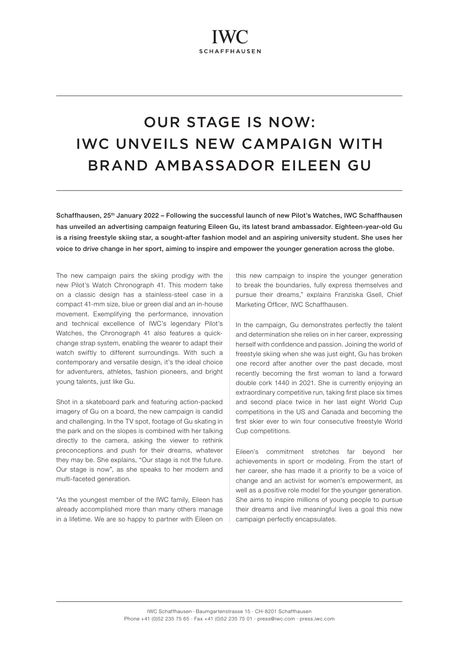# OUR STAGE IS NOW: IWC UNVEILS NEW CAMPAIGN WITH BRAND AMBASSADOR EILEEN GU

Schaffhausen, 25<sup>th</sup> January 2022 - Following the successful launch of new Pilot's Watches, IWC Schaffhausen has unveiled an advertising campaign featuring Eileen Gu, its latest brand ambassador. Eighteen-year-old Gu is a rising freestyle skiing star, a sought-after fashion model and an aspiring university student. She uses her voice to drive change in her sport, aiming to inspire and empower the younger generation across the globe.

The new campaign pairs the skiing prodigy with the new Pilot's Watch Chronograph 41. This modern take on a classic design has a stainless-steel case in a compact 41-mm size, blue or green dial and an in-house movement. Exemplifying the performance, innovation and technical excellence of IWC's legendary Pilot's Watches, the Chronograph 41 also features a quickchange strap system, enabling the wearer to adapt their watch swiftly to different surroundings. With such a contemporary and versatile design, it's the ideal choice for adventurers, athletes, fashion pioneers, and bright young talents, just like Gu.

Shot in a skateboard park and featuring action-packed imagery of Gu on a board, the new campaign is candid and challenging. In the TV spot, footage of Gu skating in the park and on the slopes is combined with her talking directly to the camera, asking the viewer to rethink preconceptions and push for their dreams, whatever they may be. She explains, "Our stage is not the future. Our stage is now", as she speaks to her modern and multi-faceted generation.

"As the youngest member of the IWC family, Eileen has already accomplished more than many others manage in a lifetime. We are so happy to partner with Eileen on this new campaign to inspire the younger generation to break the boundaries, fully express themselves and pursue their dreams," explains Franziska Gsell, Chief Marketing Officer, IWC Schaffhausen.

In the campaign, Gu demonstrates perfectly the talent and determination she relies on in her career, expressing herself with confidence and passion. Joining the world of freestyle skiing when she was just eight, Gu has broken one record after another over the past decade, most recently becoming the first woman to land a forward double cork 1440 in 2021. She is currently enjoying an extraordinary competitive run, taking first place six times and second place twice in her last eight World Cup competitions in the US and Canada and becoming the first skier ever to win four consecutive freestyle World Cup competitions.

Eileen's commitment stretches far beyond her achievements in sport or modeling. From the start of her career, she has made it a priority to be a voice of change and an activist for women's empowerment, as well as a positive role model for the younger generation. She aims to inspire millions of young people to pursue their dreams and live meaningful lives a goal this new campaign perfectly encapsulates.